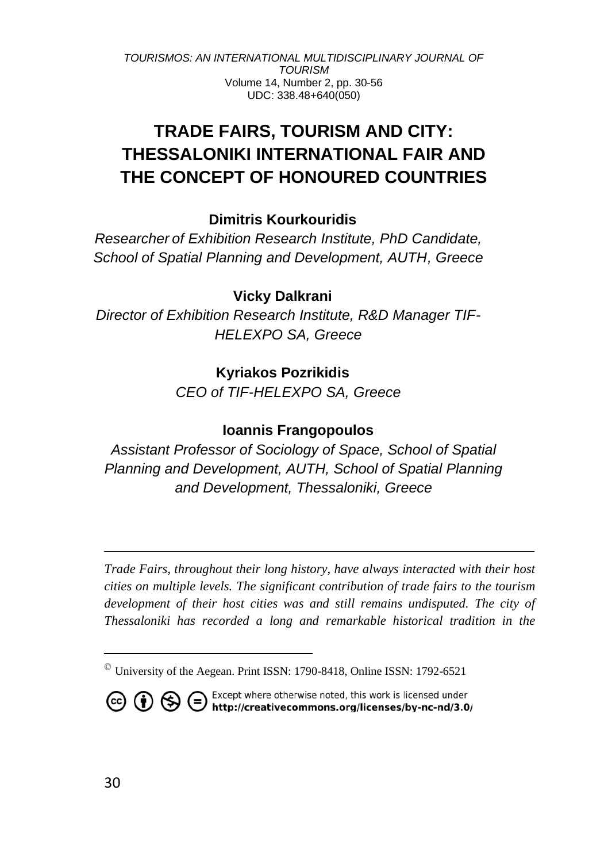# **TRADE FAIRS, TOURISM AND CITY: THESSALONIKI INTERNATIONAL FAIR AND THE CONCEPT OF HONOURED COUNTRIES**

# **Dimitris Kourkouridis**

*Researcher of Exhibition Research Institute, PhD Candidate, School of Spatial Planning and Development, AUTH, Greece*

# **Vicky Dalkrani ©**

*Director of Exhibition Research Institute, R&D Manager TIF-HELEXPO SA, Greece*

# **Kyriakos Pozrikidis ©**

*CEO of TIF-HELEXPO SA, Greece*

# **Ioannis Frangopoulos**

*Assistant Professor of Sociology of Space, School of Spatial Planning and Development, AUTH, School of Spatial Planning and Development, Thessaloniki, Greece*

*Trade Fairs, throughout their long history, have always interacted with their host cities on multiple levels. The significant contribution of trade fairs to the tourism*  development of their host cities was and still remains undisputed. The city of *Thessaloniki has recorded a long and remarkable historical tradition in the* 

<sup>©</sup> University of the Aegean. Print ISSN: 1790-8418, Online ISSN: 1792-6521



**CO (i)** S Except where otherwise noted, this work is licensed under http://creativecommons.org/licenses/by-nc-nd/3.0/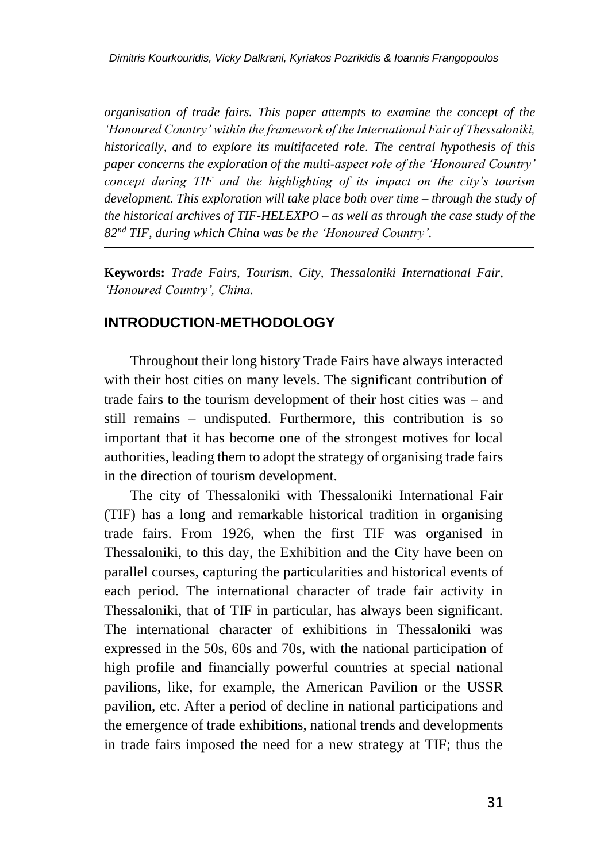*organisation of trade fairs. This paper attempts to examine the concept of the 'Honoured Country' within the framework of the International Fair of Thessaloniki, historically, and to explore its multifaceted role. The central hypothesis of this paper concerns the exploration of the multi-aspect role of the 'Honoured Country' concept during TIF and the highlighting of its impact on the city's tourism development. This exploration will take place both over time – through the study of the historical archives of TIF-HELEXPO – as well as through the case study of the 82nd TIF, during which China was be the 'Honoured Country'.*

**Keywords:** *Trade Fairs, Tourism, City, Thessaloniki International Fair, 'Honoured Country', China.*

### **INTRODUCTION-METHODOLOGY**

Throughout their long history Trade Fairs have always interacted with their host cities on many levels. The significant contribution of trade fairs to the tourism development of their host cities was – and still remains – undisputed. Furthermore, this contribution is so important that it has become one of the strongest motives for local authorities, leading them to adopt the strategy of organising trade fairs in the direction of tourism development.

The city of Thessaloniki with Thessaloniki International Fair (TIF) has a long and remarkable historical tradition in organising trade fairs. From 1926, when the first TIF was organised in Thessaloniki, to this day, the Exhibition and the City have been on parallel courses, capturing the particularities and historical events of each period. The international character of trade fair activity in Thessaloniki, that of TIF in particular, has always been significant. The international character of exhibitions in Thessaloniki was expressed in the 50s, 60s and 70s, with the national participation of high profile and financially powerful countries at special national pavilions, like, for example, the American Pavilion or the USSR pavilion, etc. After a period of decline in national participations and the emergence of trade exhibitions, national trends and developments in trade fairs imposed the need for a new strategy at TIF; thus the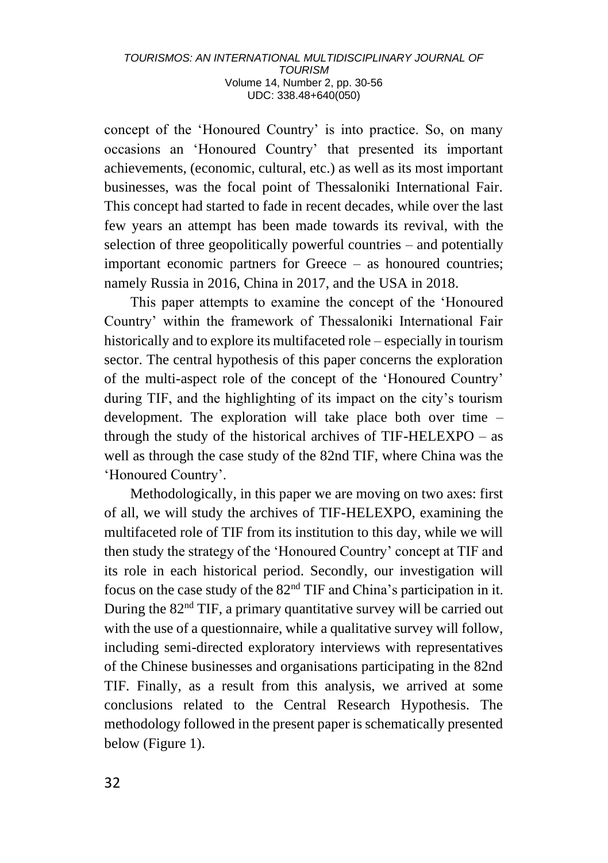concept of the 'Honoured Country' is into practice. So, on many occasions an 'Honoured Country' that presented its important achievements, (economic, cultural, etc.) as well as its most important businesses, was the focal point of Thessaloniki International Fair. This concept had started to fade in recent decades, while over the last few years an attempt has been made towards its revival, with the selection of three geopolitically powerful countries – and potentially important economic partners for Greece – as honoured countries; namely Russia in 2016, China in 2017, and the USA in 2018.

This paper attempts to examine the concept of the 'Honoured Country' within the framework of Thessaloniki International Fair historically and to explore its multifaceted role – especially in tourism sector. The central hypothesis of this paper concerns the exploration of the multi-aspect role of the concept of the 'Honoured Country' during TIF, and the highlighting of its impact on the city's tourism development. The exploration will take place both over time – through the study of the historical archives of TIF-HELEXPO – as well as through the case study of the 82nd TIF, where China was the 'Honoured Country'.

Methodologically, in this paper we are moving on two axes: first of all, we will study the archives of TIF-HELEXPO, examining the multifaceted role of TIF from its institution to this day, while we will then study the strategy of the 'Honoured Country' concept at TIF and its role in each historical period. Secondly, our investigation will focus on the case study of the 82nd TIF and China's participation in it. During the  $82<sup>nd</sup>$  TIF, a primary quantitative survey will be carried out with the use of a questionnaire, while a qualitative survey will follow. including semi-directed exploratory interviews with representatives of the Chinese businesses and organisations participating in the 82nd TIF. Finally, as a result from this analysis, we arrived at some conclusions related to the Central Research Hypothesis. The methodology followed in the present paper is schematically presented below (Figure 1).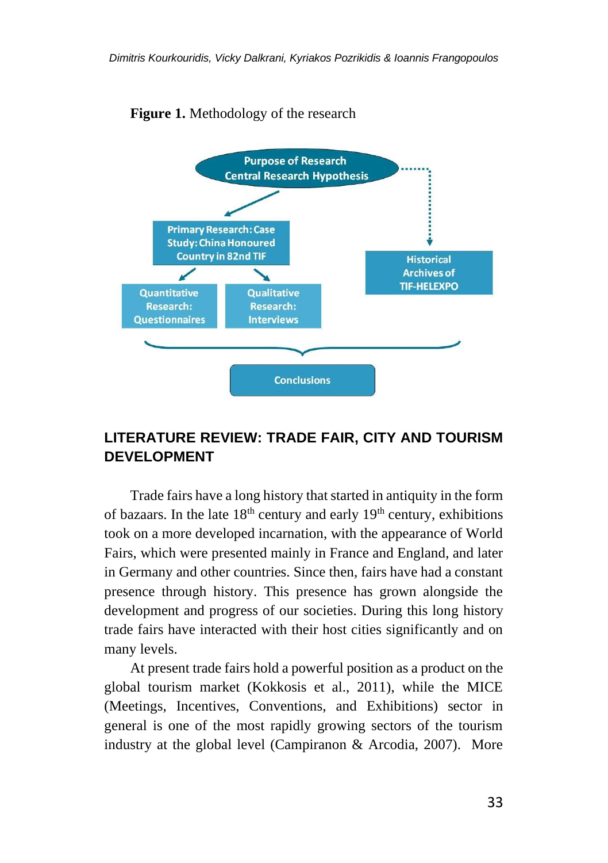

### **Figure 1.** Methodology of the research

# **LITERATURE REVIEW: TRADE FAIR, CITY AND TOURISM DEVELOPMENT**

Trade fairs have a long history that started in antiquity in the form of bazaars. In the late  $18<sup>th</sup>$  century and early  $19<sup>th</sup>$  century, exhibitions took on a more developed incarnation, with the appearance of World Fairs, which were presented mainly in France and England, and later in Germany and other countries. Since then, fairs have had a constant presence through history. This presence has grown alongside the development and progress of our societies. During this long history trade fairs have interacted with their host cities significantly and on many levels.

At present trade fairs hold a powerful position as a product on the global tourism market (Kokkosis et al., 2011), while the MICE (Meetings, Incentives, Conventions, and Exhibitions) sector in general is one of the most rapidly growing sectors of the tourism industry at the global level (Campiranon & Arcodia, 2007). More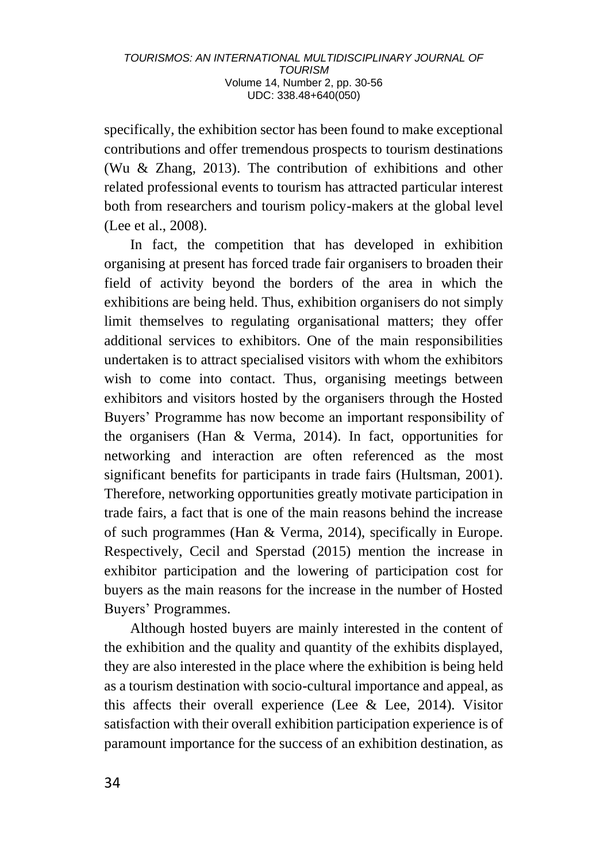specifically, the exhibition sector has been found to make exceptional contributions and offer tremendous prospects to tourism destinations (Wu & Zhang, 2013). The contribution of exhibitions and other related professional events to tourism has attracted particular interest both from researchers and tourism policy-makers at the global level (Lee et al., 2008).

In fact, the competition that has developed in exhibition organising at present has forced trade fair organisers to broaden their field of activity beyond the borders of the area in which the exhibitions are being held. Thus, exhibition organisers do not simply limit themselves to regulating organisational matters; they offer additional services to exhibitors. One of the main responsibilities undertaken is to attract specialised visitors with whom the exhibitors wish to come into contact. Thus, organising meetings between exhibitors and visitors hosted by the organisers through the Hosted Buyers' Programme has now become an important responsibility of the organisers (Han & Verma, 2014). In fact, opportunities for networking and interaction are often referenced as the most significant benefits for participants in trade fairs (Hultsman, 2001). Therefore, networking opportunities greatly motivate participation in trade fairs, a fact that is one of the main reasons behind the increase of such programmes (Han & Verma, 2014), specifically in Europe. Respectively, Cecil and Sperstad (2015) mention the increase in exhibitor participation and the lowering of participation cost for buyers as the main reasons for the increase in the number of Hosted Buyers' Programmes.

Although hosted buyers are mainly interested in the content of the exhibition and the quality and quantity of the exhibits displayed, they are also interested in the place where the exhibition is being held as a tourism destination with socio-cultural importance and appeal, as this affects their overall experience (Lee & Lee, 2014). Visitor satisfaction with their overall exhibition participation experience is of paramount importance for the success of an exhibition destination, as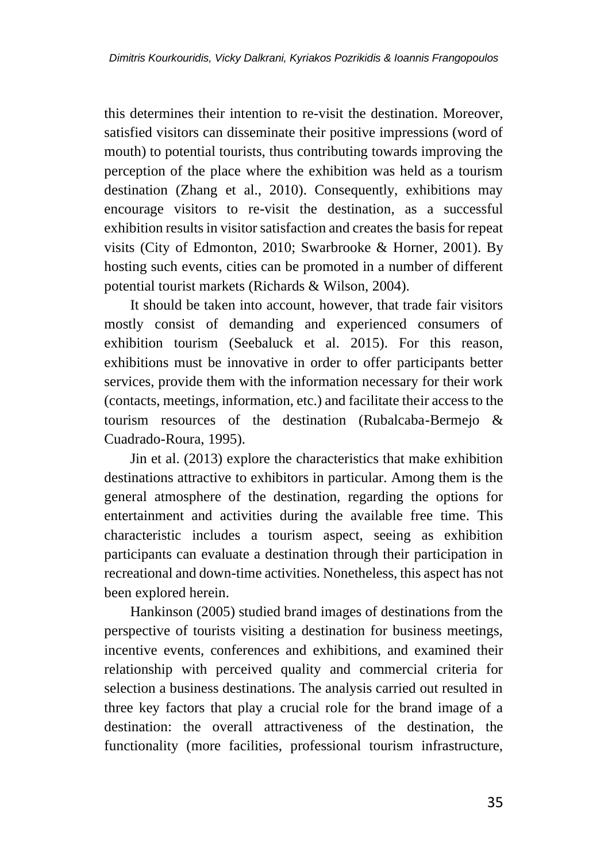this determines their intention to re-visit the destination. Moreover, satisfied visitors can disseminate their positive impressions (word of mouth) to potential tourists, thus contributing towards improving the perception of the place where the exhibition was held as a tourism destination (Zhang et al., 2010). Consequently, exhibitions may encourage visitors to re-visit the destination, as a successful exhibition results in visitor satisfaction and creates the basis for repeat visits (City of Edmonton, 2010; Swarbrooke & Horner, 2001). By hosting such events, cities can be promoted in a number of different potential tourist markets (Richards & Wilson, 2004).

It should be taken into account, however, that trade fair visitors mostly consist of demanding and experienced consumers of exhibition tourism (Seebaluck et al. 2015). For this reason, exhibitions must be innovative in order to offer participants better services, provide them with the information necessary for their work (contacts, meetings, information, etc.) and facilitate their access to the tourism resources of the destination (Rubalcaba-Bermejo & Cuadrado-Roura, 1995).

Jin et al. (2013) explore the characteristics that make exhibition destinations attractive to exhibitors in particular. Among them is the general atmosphere of the destination, regarding the options for entertainment and activities during the available free time. This characteristic includes a tourism aspect, seeing as exhibition participants can evaluate a destination through their participation in recreational and down-time activities. Nonetheless, this aspect has not been explored herein.

Hankinson (2005) studied brand images of destinations from the perspective of tourists visiting a destination for business meetings, incentive events, conferences and exhibitions, and examined their relationship with perceived quality and commercial criteria for selection a business destinations. The analysis carried out resulted in three key factors that play a crucial role for the brand image of a destination: the overall attractiveness of the destination, the functionality (more facilities, professional tourism infrastructure,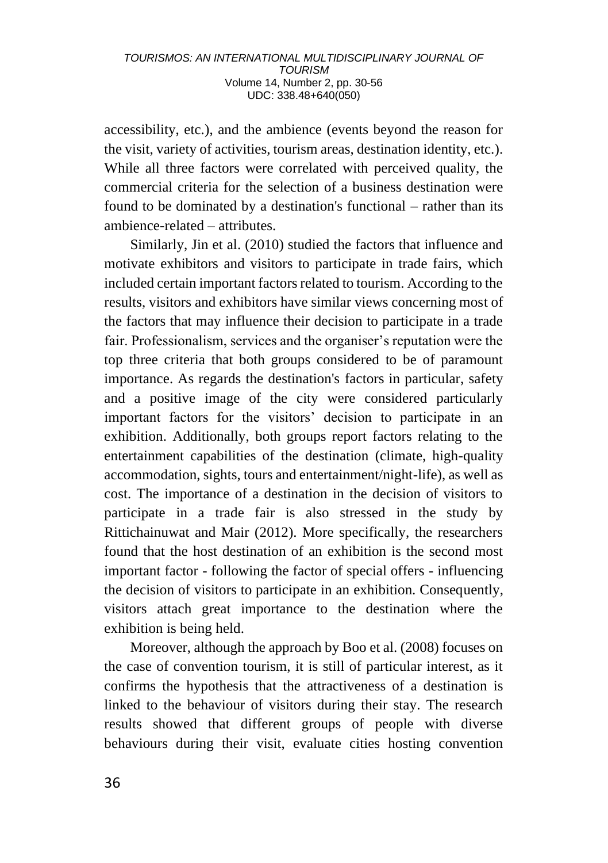accessibility, etc.), and the ambience (events beyond the reason for the visit, variety of activities, tourism areas, destination identity, etc.). While all three factors were correlated with perceived quality, the commercial criteria for the selection of a business destination were found to be dominated by a destination's functional – rather than its ambience-related – attributes.

Similarly, Jin et al. (2010) studied the factors that influence and motivate exhibitors and visitors to participate in trade fairs, which included certain important factors related to tourism. According to the results, visitors and exhibitors have similar views concerning most of the factors that may influence their decision to participate in a trade fair. Professionalism, services and the organiser's reputation were the top three criteria that both groups considered to be of paramount importance. As regards the destination's factors in particular, safety and a positive image of the city were considered particularly important factors for the visitors' decision to participate in an exhibition. Additionally, both groups report factors relating to the entertainment capabilities of the destination (climate, high-quality accommodation, sights, tours and entertainment/night-life), as well as cost. The importance of a destination in the decision of visitors to participate in a trade fair is also stressed in the study by Rittichainuwat and Mair (2012). More specifically, the researchers found that the host destination of an exhibition is the second most important factor - following the factor of special offers - influencing the decision of visitors to participate in an exhibition. Consequently, visitors attach great importance to the destination where the exhibition is being held.

Moreover, although the approach by Boo et al. (2008) focuses on the case of convention tourism, it is still of particular interest, as it confirms the hypothesis that the attractiveness of a destination is linked to the behaviour of visitors during their stay. The research results showed that different groups of people with diverse behaviours during their visit, evaluate cities hosting convention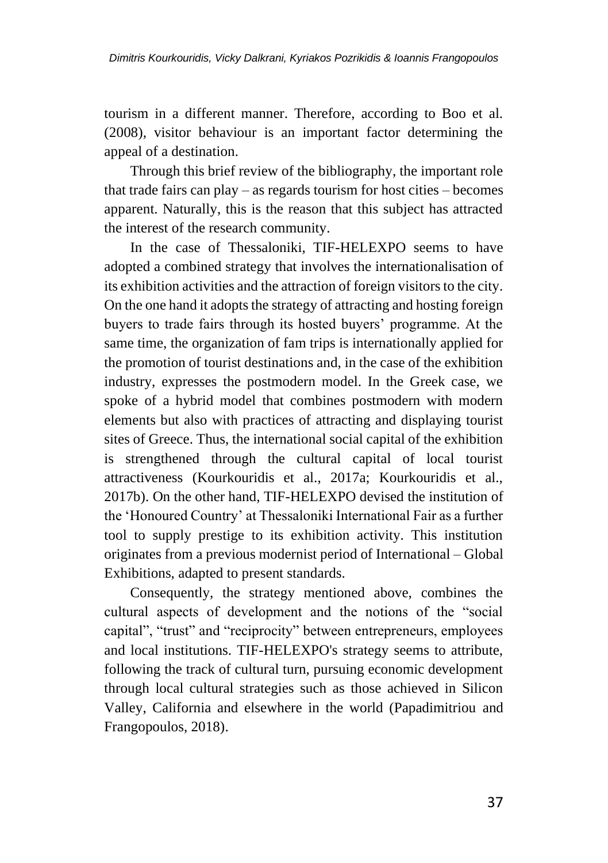tourism in a different manner. Therefore, according to Boo et al. (2008), visitor behaviour is an important factor determining the appeal of a destination.

Through this brief review of the bibliography, the important role that trade fairs can play – as regards tourism for host cities – becomes apparent. Naturally, this is the reason that this subject has attracted the interest of the research community.

In the case of Thessaloniki, TIF-HELEXPO seems to have adopted a combined strategy that involves the internationalisation of its exhibition activities and the attraction of foreign visitors to the city. On the one hand it adopts the strategy of attracting and hosting foreign buyers to trade fairs through its hosted buyers' programme. At the same time, the organization of fam trips is internationally applied for the promotion of tourist destinations and, in the case of the exhibition industry, expresses the postmodern model. In the Greek case, we spoke of a hybrid model that combines postmodern with modern elements but also with practices of attracting and displaying tourist sites of Greece. Thus, the international social capital of the exhibition is strengthened through the cultural capital of local tourist attractiveness (Kourkouridis et al., 2017a; Kourkouridis et al., 2017b). On the other hand, TIF-HELEXPO devised the institution of the 'Honoured Country' at Thessaloniki International Fair as a further tool to supply prestige to its exhibition activity. This institution originates from a previous modernist period of International – Global Exhibitions, adapted to present standards.

Consequently, the strategy mentioned above, combines the cultural aspects of development and the notions of the "social capital", "trust" and "reciprocity" between entrepreneurs, employees and local institutions. TIF-HELEXPO's strategy seems to attribute, following the track of cultural turn, pursuing economic development through local cultural strategies such as those achieved in Silicon Valley, California and elsewhere in the world (Papadimitriou and Frangopoulos, 2018).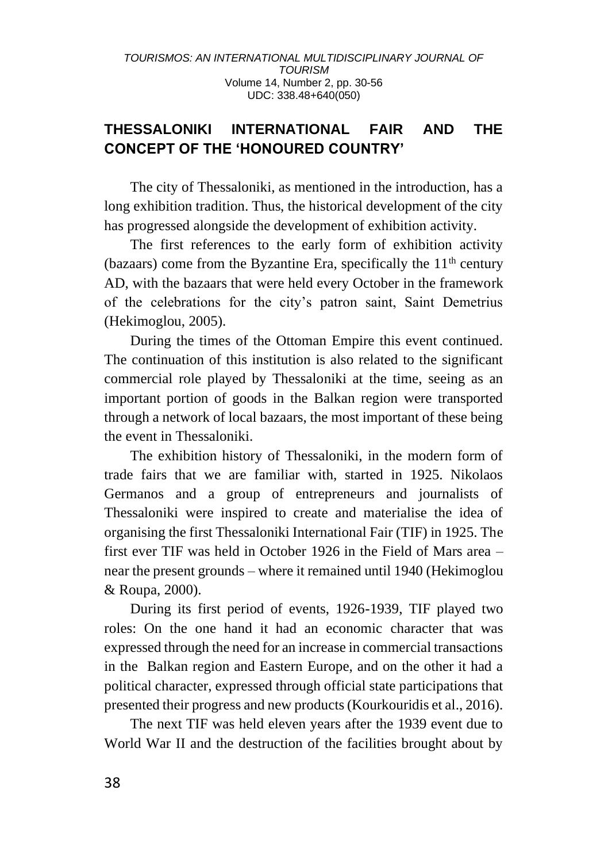# **THESSALONIKI INTERNATIONAL FAIR AND THE CONCEPT OF THE 'HONOURED COUNTRY'**

The city of Thessaloniki, as mentioned in the introduction, has a long exhibition tradition. Thus, the historical development of the city has progressed alongside the development of exhibition activity.

The first references to the early form of exhibition activity (bazaars) come from the Byzantine Era, specifically the  $11<sup>th</sup>$  century AD, with the bazaars that were held every October in the framework of the celebrations for the city's patron saint, Saint Demetrius (Hekimoglou, 2005).

During the times of the Ottoman Empire this event continued. The continuation of this institution is also related to the significant commercial role played by Thessaloniki at the time, seeing as an important portion of goods in the Balkan region were transported through a network of local bazaars, the most important of these being the event in Thessaloniki.

The exhibition history of Thessaloniki, in the modern form of trade fairs that we are familiar with, started in 1925. Nikolaos Germanos and a group of entrepreneurs and journalists of Thessaloniki were inspired to create and materialise the idea of organising the first Thessaloniki International Fair (TIF) in 1925. The first ever TIF was held in October 1926 in the Field of Mars area – near the present grounds – where it remained until 1940 (Hekimoglou & Roupa, 2000).

During its first period of events, 1926-1939, TIF played two roles: On the one hand it had an economic character that was expressed through the need for an increase in commercial transactions in the Balkan region and Eastern Europe, and on the other it had a political character, expressed through official state participations that presented their progress and new products (Kourkouridis et al., 2016).

The next TIF was held eleven years after the 1939 event due to World War II and the destruction of the facilities brought about by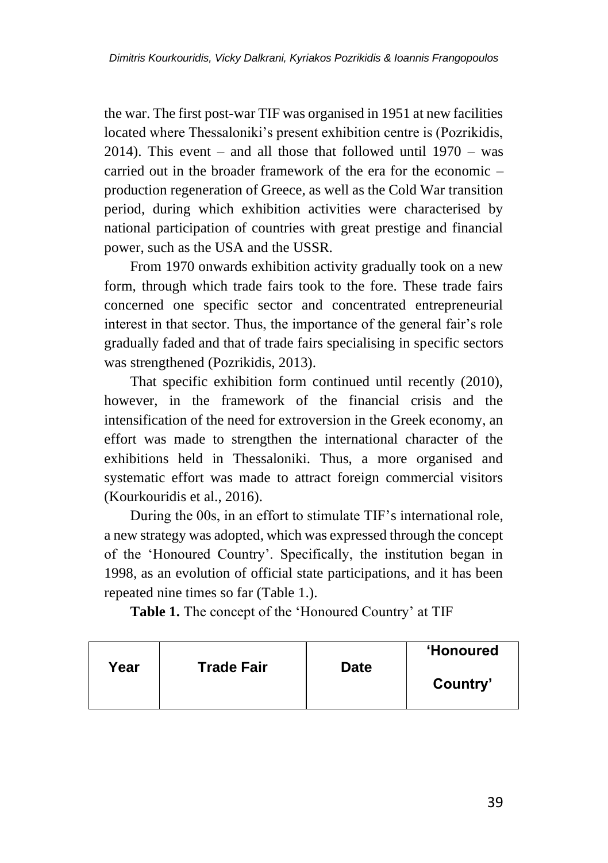the war. The first post-war TIF was organised in 1951 at new facilities located where Thessaloniki's present exhibition centre is (Pozrikidis, 2014). This event – and all those that followed until  $1970 - was$ carried out in the broader framework of the era for the economic – production regeneration of Greece, as well as the Cold War transition period, during which exhibition activities were characterised by national participation of countries with great prestige and financial power, such as the USA and the USSR.

From 1970 onwards exhibition activity gradually took on a new form, through which trade fairs took to the fore. These trade fairs concerned one specific sector and concentrated entrepreneurial interest in that sector. Thus, the importance of the general fair's role gradually faded and that of trade fairs specialising in specific sectors was strengthened (Pozrikidis, 2013).

That specific exhibition form continued until recently (2010), however, in the framework of the financial crisis and the intensification of the need for extroversion in the Greek economy, an effort was made to strengthen the international character of the exhibitions held in Thessaloniki. Thus, a more organised and systematic effort was made to attract foreign commercial visitors (Kourkouridis et al., 2016).

During the 00s, in an effort to stimulate TIF's international role, a new strategy was adopted, which was expressed through the concept of the 'Honoured Country'. Specifically, the institution began in 1998, as an evolution of official state participations, and it has been repeated nine times so far (Table 1.).

**Table 1.** The concept of the 'Honoured Country' at TIF

| Year | <b>Trade Fair</b> | <b>Date</b> | <b>Honoured</b><br>Country' |
|------|-------------------|-------------|-----------------------------|
|      |                   |             |                             |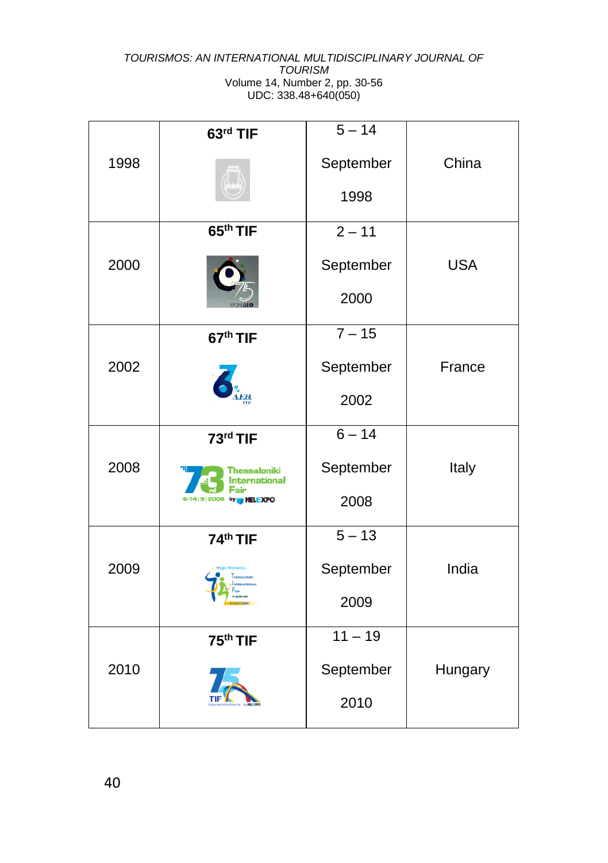| 1998 | 63rd TIF                                    | $5 - 14$<br>September | China      |
|------|---------------------------------------------|-----------------------|------------|
|      | 65 <sup>th</sup> TIF                        | 1998<br>$2 - 11$      |            |
| 2000 |                                             | September             | <b>USA</b> |
|      |                                             | 2000                  |            |
| 2002 | 67 <sup>th</sup> TIF                        | $7 - 15$<br>September | France     |
|      |                                             | 2002                  |            |
|      | 73rd TIF                                    | $6 - 14$              |            |
| 2008 | Thessaloniki<br><b>nternational</b><br>Fair | September             | Italy      |
|      | by<br><b>HELEXPO</b>                        | 2008                  |            |
|      | 74th TIF                                    | $5 - 13$              |            |
| 2009 |                                             | September             | India      |
|      |                                             | 2009                  |            |
| 2010 | 75 <sup>th</sup> TIF                        | $11 - 19$             |            |
|      |                                             | September             | Hungary    |
|      |                                             | 2010                  |            |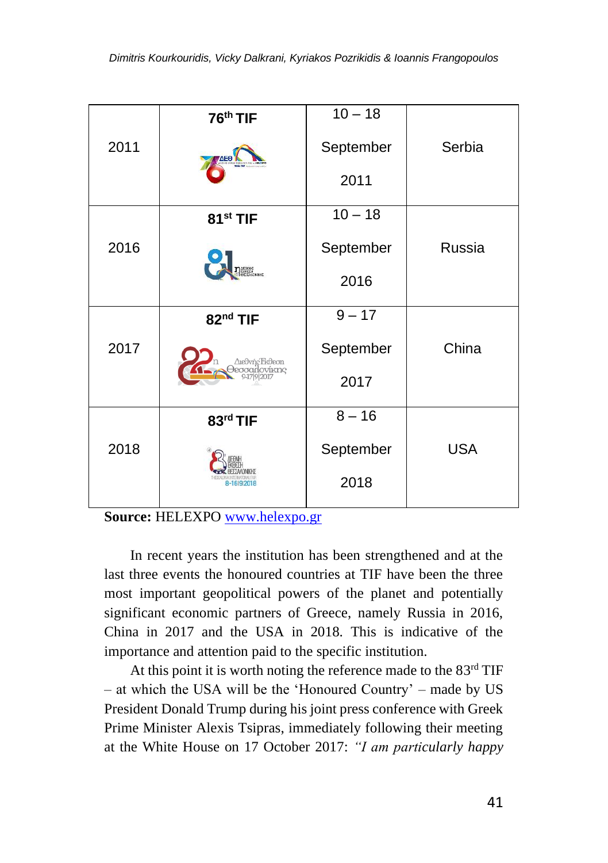| 2011 | 76 <sup>th</sup> TIF              | $10 - 18$ |            |
|------|-----------------------------------|-----------|------------|
|      | ΆЕΘ                               | September | Serbia     |
|      |                                   | 2011      |            |
|      | 81 <sup>st</sup> TIF              | $10 - 18$ |            |
| 2016 | <b>DESCAC</b><br>ROBERTA          | September | Russia     |
|      |                                   | 2016      |            |
|      | 82 <sup>nd</sup> TIF              | $9 - 17$  |            |
| 2017 | Aieθvńc'Ekθeon<br>ovíkne<br>eooan | September | China      |
|      |                                   | 2017      |            |
|      | 83rd TIF                          | $8 - 16$  |            |
| 2018 | 8-16 9 2018                       | September | <b>USA</b> |
|      |                                   | 2018      |            |

**Source:** HELEXPO [www.helexpo.gr](http://www.helexpo.gr/)

In recent years the institution has been strengthened and at the last three events the honoured countries at TIF have been the three most important geopolitical powers of the planet and potentially significant economic partners of Greece, namely Russia in 2016, China in 2017 and the USA in 2018. This is indicative of the importance and attention paid to the specific institution.

At this point it is worth noting the reference made to the 83<sup>rd</sup> TIF – at which the USA will be the 'Honoured Country' – made by US President Donald Trump during his joint press conference with Greek Prime Minister Alexis Tsipras, immediately following their meeting at the White House on 17 October 2017: *"I am particularly happy*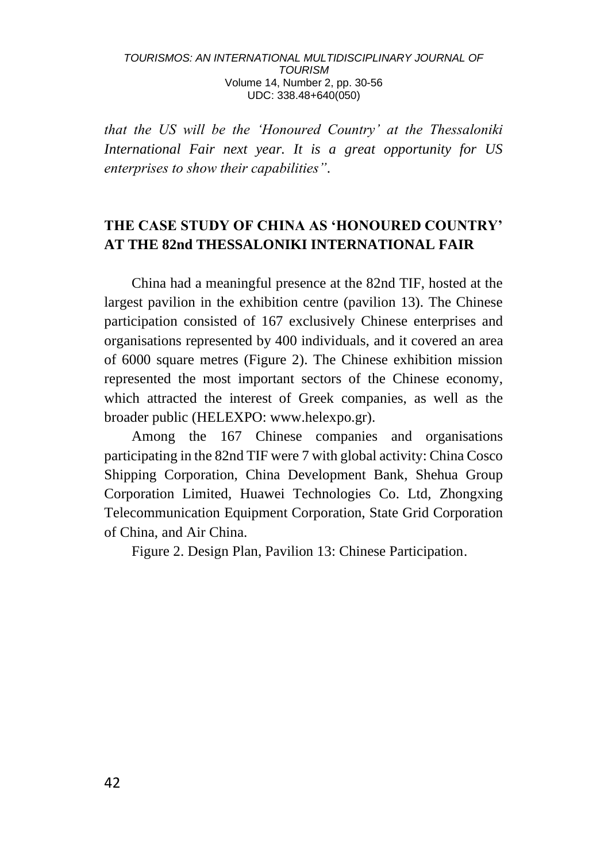*that the US will be the 'Honoured Country' at the Thessaloniki International Fair next year. It is a great opportunity for US enterprises to show their capabilities"*.

# **THE CASE STUDY OF CHINA AS 'HONOURED COUNTRY' AT THE 82nd THESSALONIKI INTERNATIONAL FAIR**

China had a meaningful presence at the 82nd TIF, hosted at the largest pavilion in the exhibition centre (pavilion 13). The Chinese participation consisted of 167 exclusively Chinese enterprises and organisations represented by 400 individuals, and it covered an area of 6000 square metres (Figure 2). The Chinese exhibition mission represented the most important sectors of the Chinese economy, which attracted the interest of Greek companies, as well as the broader public (HELEXPO: www.helexpo.gr).

Among the 167 Chinese companies and organisations participating in the 82nd TIF were 7 with global activity: China Cosco Shipping Corporation, China Development Bank, Shehua Group Corporation Limited, Huawei Technologies Co. Ltd, Zhongxing Telecommunication Equipment Corporation, State Grid Corporation of China, and Air China.

Figure 2. Design Plan, Pavilion 13: Chinese Participation.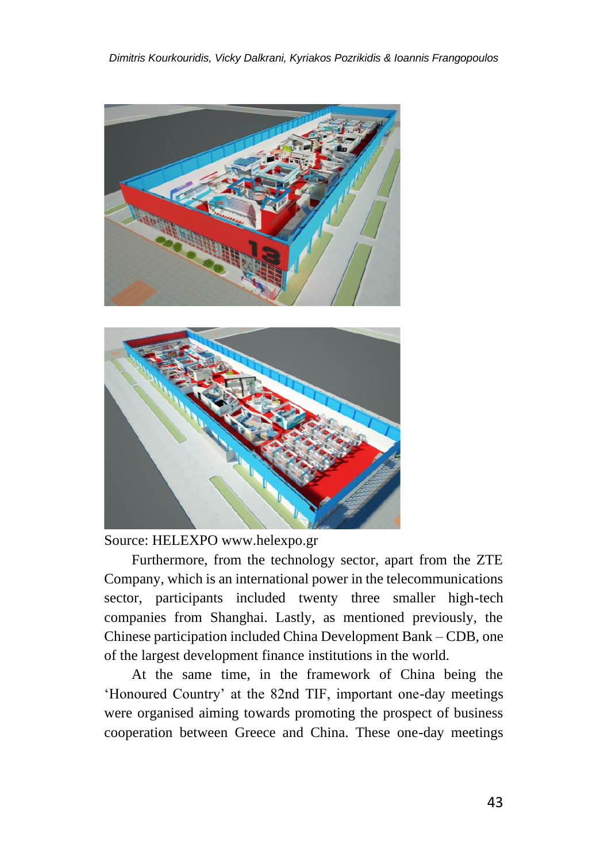



Source: HELEXPO www.helexpo.gr

Furthermore, from the technology sector, apart from the ZTE Company, which is an international power in the telecommunications sector, participants included twenty three smaller high-tech companies from Shanghai. Lastly, as mentioned previously, the Chinese participation included China Development Bank – CDB, one of the largest development finance institutions in the world.

At the same time, in the framework of China being the 'Honoured Country' at the 82nd TIF, important one-day meetings were organised aiming towards promoting the prospect of business cooperation between Greece and China. These one-day meetings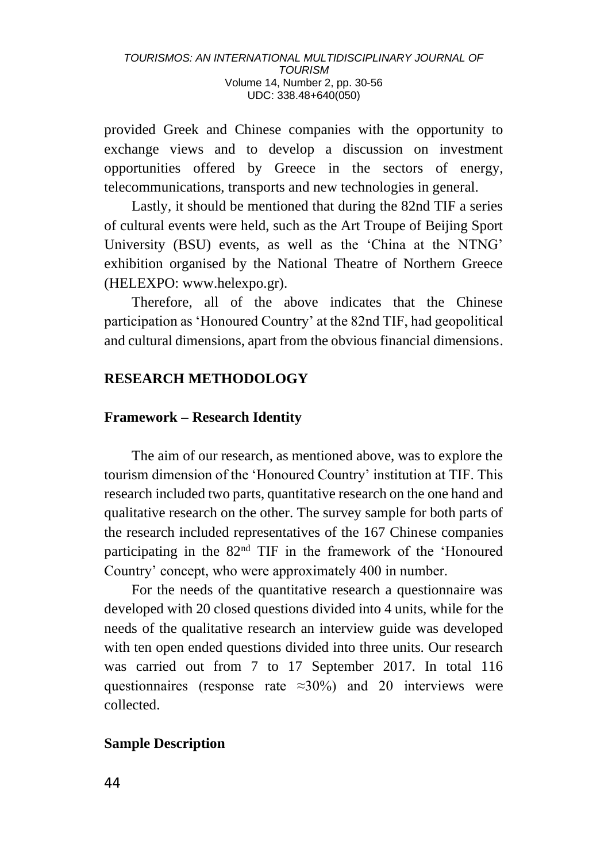provided Greek and Chinese companies with the opportunity to exchange views and to develop a discussion on investment opportunities offered by Greece in the sectors of energy, telecommunications, transports and new technologies in general.

Lastly, it should be mentioned that during the 82nd TIF a series of cultural events were held, such as the Art Troupe of Beijing Sport University (BSU) events, as well as the 'China at the NTNG' exhibition organised by the National Theatre of Northern Greece (HELEXPO: www.helexpo.gr).

Therefore, all of the above indicates that the Chinese participation as 'Honoured Country' at the 82nd TIF, had geopolitical and cultural dimensions, apart from the obvious financial dimensions.

# **RESEARCH METHODOLOGY**

# **Framework – Research Identity**

The aim of our research, as mentioned above, was to explore the tourism dimension of the 'Honoured Country' institution at TIF. This research included two parts, quantitative research on the one hand and qualitative research on the other. The survey sample for both parts of the research included representatives of the 167 Chinese companies participating in the 82nd TIF in the framework of the 'Honoured Country' concept, who were approximately 400 in number.

For the needs of the quantitative research a questionnaire was developed with 20 closed questions divided into 4 units, while for the needs of the qualitative research an interview guide was developed with ten open ended questions divided into three units. Our research was carried out from 7 to 17 September 2017. In total 116 questionnaires (response rate ≈30%) and 20 interviews were collected.

# **Sample Description**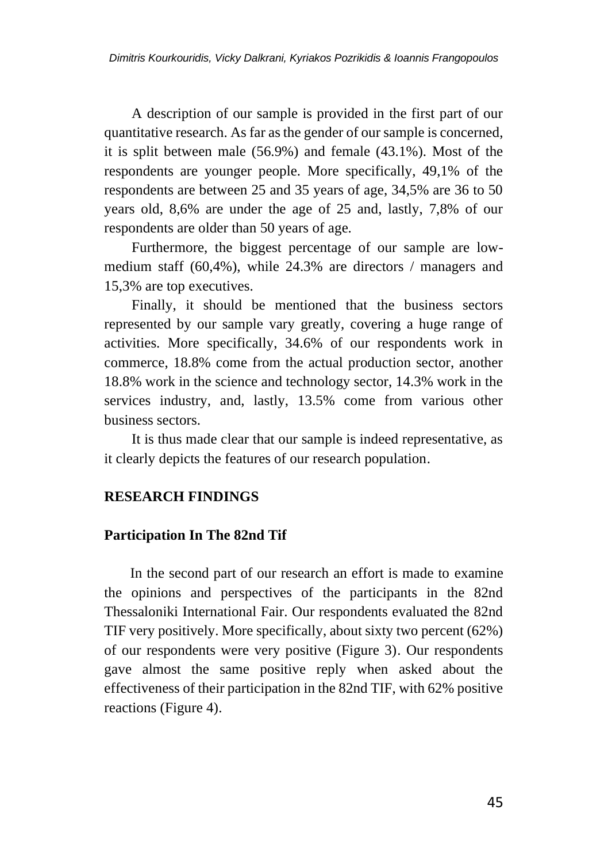A description of our sample is provided in the first part of our quantitative research. As far as the gender of our sample is concerned, it is split between male (56.9%) and female (43.1%). Most of the respondents are younger people. More specifically, 49,1% of the respondents are between 25 and 35 years of age, 34,5% are 36 to 50 years old, 8,6% are under the age of 25 and, lastly, 7,8% of our respondents are older than 50 years of age.

Furthermore, the biggest percentage of our sample are lowmedium staff (60,4%), while 24.3% are directors / managers and 15,3% are top executives.

Finally, it should be mentioned that the business sectors represented by our sample vary greatly, covering a huge range of activities. More specifically, 34.6% of our respondents work in commerce, 18.8% come from the actual production sector, another 18.8% work in the science and technology sector, 14.3% work in the services industry, and, lastly, 13.5% come from various other business sectors.

It is thus made clear that our sample is indeed representative, as it clearly depicts the features of our research population.

# **RESEARCH FINDINGS**

### **Participation In The 82nd Tif**

In the second part of our research an effort is made to examine the opinions and perspectives of the participants in the 82nd Thessaloniki International Fair. Our respondents evaluated the 82nd TIF very positively. More specifically, about sixty two percent (62%) of our respondents were very positive (Figure 3). Our respondents gave almost the same positive reply when asked about the effectiveness of their participation in the 82nd TIF, with 62% positive reactions (Figure 4).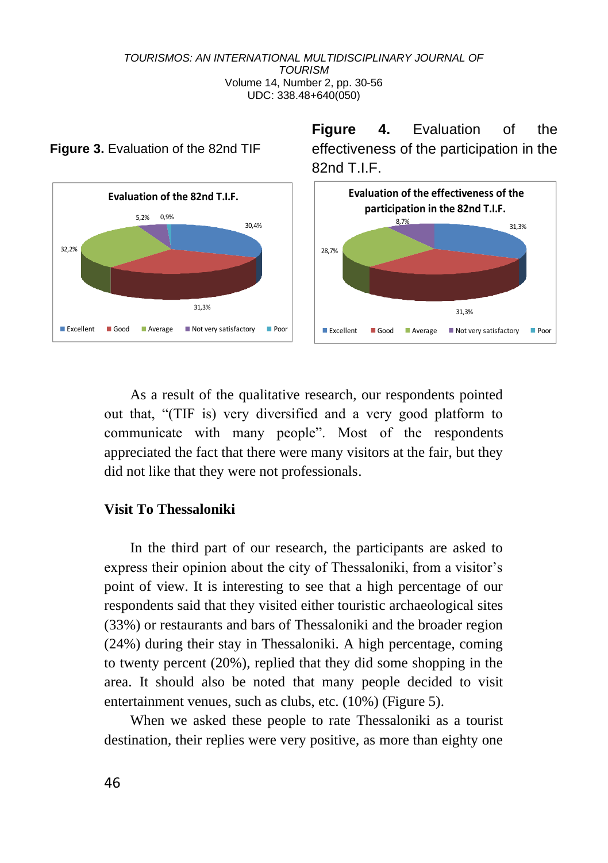**Figure 4.** Evaluation of the effectiveness of the participation in the



### **Figure 3.** Evaluation of the 82nd TIF

As a result of the qualitative research, our respondents pointed out that, "(TIF is) very diversified and a very good platform to communicate with many people". Most of the respondents appreciated the fact that there were many visitors at the fair, but they did not like that they were not professionals.

### **Visit To Thessaloniki**

In the third part of our research, the participants are asked to express their opinion about the city of Thessaloniki, from a visitor's point of view. It is interesting to see that a high percentage of our respondents said that they visited either touristic archaeological sites (33%) or restaurants and bars of Thessaloniki and the broader region (24%) during their stay in Thessaloniki. A high percentage, coming to twenty percent (20%), replied that they did some shopping in the area. It should also be noted that many people decided to visit entertainment venues, such as clubs, etc. (10%) (Figure 5).

When we asked these people to rate Thessaloniki as a tourist destination, their replies were very positive, as more than eighty one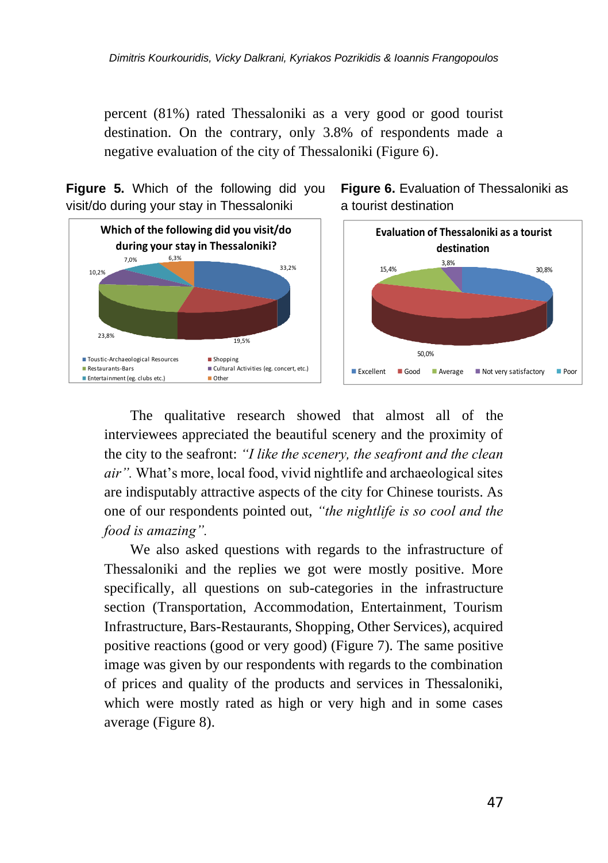percent (81%) rated Thessaloniki as a very good or good tourist destination. On the contrary, only 3.8% of respondents made a negative evaluation of the city of Thessaloniki (Figure 6).



**Figure 5.** Which of the following did you





The qualitative research showed that almost all of the interviewees appreciated the beautiful scenery and the proximity of the city to the seafront: *"I like the scenery, the seafront and the clean air".* What's more, local food, vivid nightlife and archaeological sites are indisputably attractive aspects of the city for Chinese tourists. As one of our respondents pointed out, *"the nightlife is so cool and the food is amazing".*

We also asked questions with regards to the infrastructure of Thessaloniki and the replies we got were mostly positive. More specifically, all questions on sub-categories in the infrastructure section (Transportation, Accommodation, Entertainment, Tourism Infrastructure, Bars-Restaurants, Shopping, Other Services), acquired positive reactions (good or very good) (Figure 7). The same positive image was given by our respondents with regards to the combination of prices and quality of the products and services in Thessaloniki, which were mostly rated as high or very high and in some cases average (Figure 8).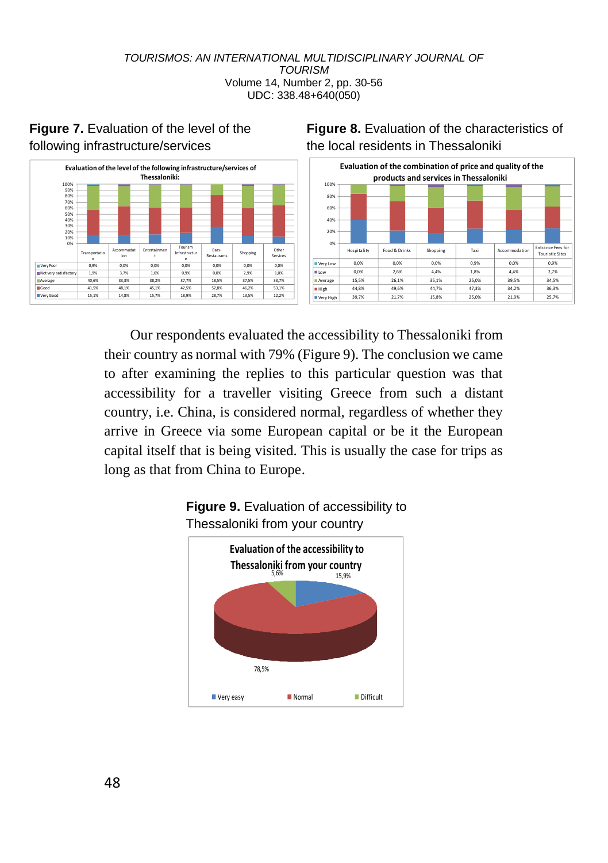

# **Figure 7.** Evaluation of the level of the following infrastructure/services

# **Figure 8.** Evaluation of the characteristics of the local residents in Thessaloniki



Our respondents evaluated the accessibility to Thessaloniki from their country as normal with 79% (Figure 9). The conclusion we came to after examining the replies to this particular question was that accessibility for a traveller visiting Greece from such a distant country, i.e. China, is considered normal, regardless of whether they arrive in Greece via some European capital or be it the European capital itself that is being visited. This is usually the case for trips as long as that from China to Europe.



### **Figure 9.** Evaluation of accessibility to Thessaloniki from your country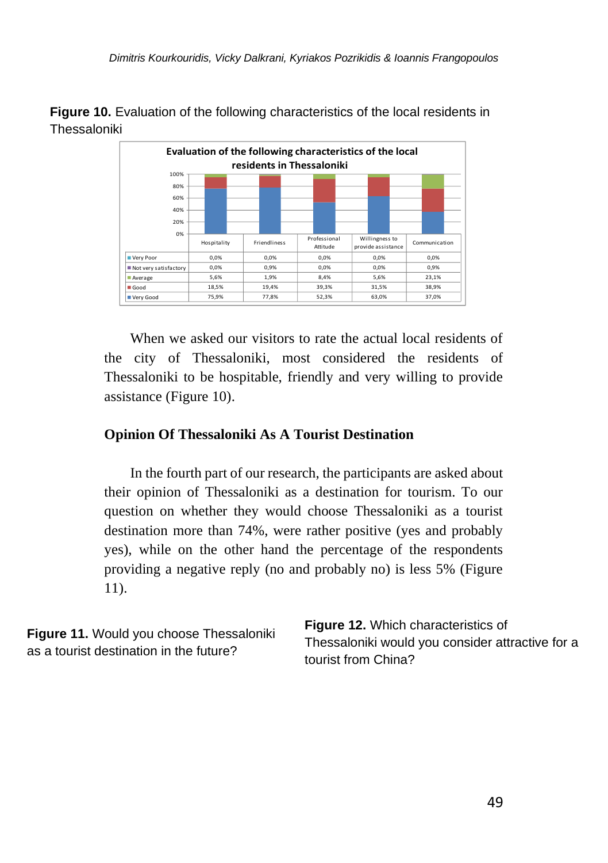**Figure 10.** Evaluation of the following characteristics of the local residents in Thessaloniki



When we asked our visitors to rate the actual local residents of the city of Thessaloniki, most considered the residents of Thessaloniki to be hospitable, friendly and very willing to provide assistance (Figure 10).

# **Opinion Of Thessaloniki As A Tourist Destination**

In the fourth part of our research, the participants are asked about their opinion of Thessaloniki as a destination for tourism. To our question on whether they would choose Thessaloniki as a tourist destination more than 74%, were rather positive (yes and probably yes), while on the other hand the percentage of the respondents providing a negative reply (no and probably no) is less 5% (Figure 11).

| Figure 11. Would you choose Thessaloniki | <b>Figure 12.</b> Which characteristics of       |  |
|------------------------------------------|--------------------------------------------------|--|
| as a tourist destination in the future?  | Thessaloniki would you consider attractive for a |  |
|                                          | tourist from China?                              |  |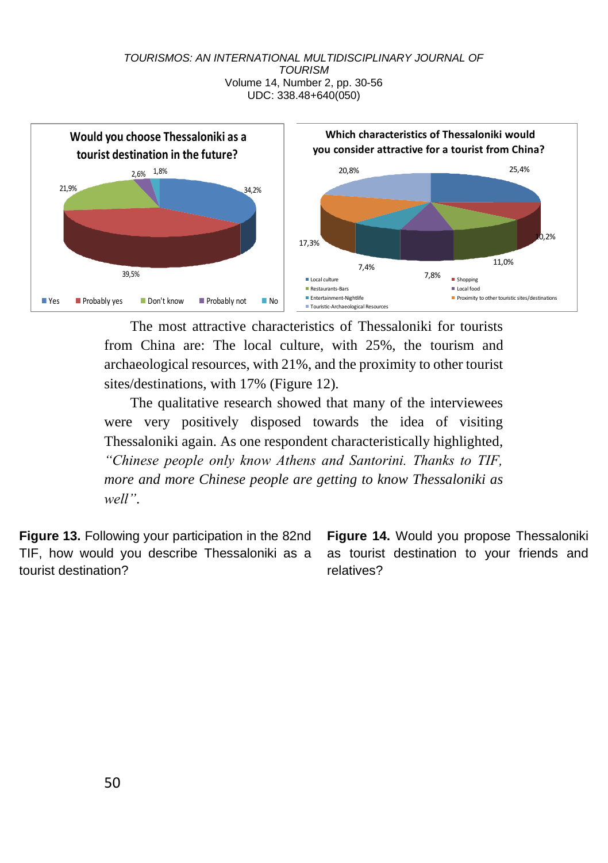

The most attractive characteristics of Thessaloniki for tourists from China are: The local culture, with 25%, the tourism and archaeological resources, with 21%, and the proximity to other tourist sites/destinations, with 17% (Figure 12).

The qualitative research showed that many of the interviewees were very positively disposed towards the idea of visiting Thessaloniki again. As one respondent characteristically highlighted, *"Chinese people only know Athens and Santorini. Thanks to TIF, more and more Chinese people are getting to know Thessaloniki as well"*.

**Figure 13.** Following your participation in the 82nd TIF, how would you describe Thessaloniki as a tourist destination?

**Figure 14.** Would you propose Thessaloniki as tourist destination to your friends and relatives?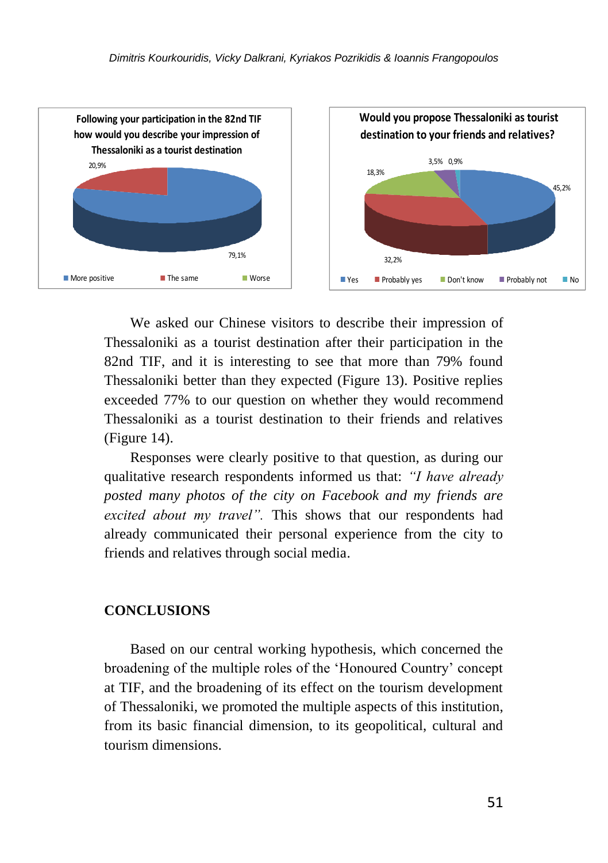

We asked our Chinese visitors to describe their impression of Thessaloniki as a tourist destination after their participation in the 82nd TIF, and it is interesting to see that more than 79% found Thessaloniki better than they expected (Figure 13). Positive replies exceeded 77% to our question on whether they would recommend Thessaloniki as a tourist destination to their friends and relatives (Figure 14).

Responses were clearly positive to that question, as during our qualitative research respondents informed us that: *"I have already posted many photos of the city on Facebook and my friends are excited about my travel".* This shows that our respondents had already communicated their personal experience from the city to friends and relatives through social media.

### **CONCLUSIONS**

Based on our central working hypothesis, which concerned the broadening of the multiple roles of the 'Honoured Country' concept at TIF, and the broadening of its effect on the tourism development of Thessaloniki, we promoted the multiple aspects of this institution, from its basic financial dimension, to its geopolitical, cultural and tourism dimensions.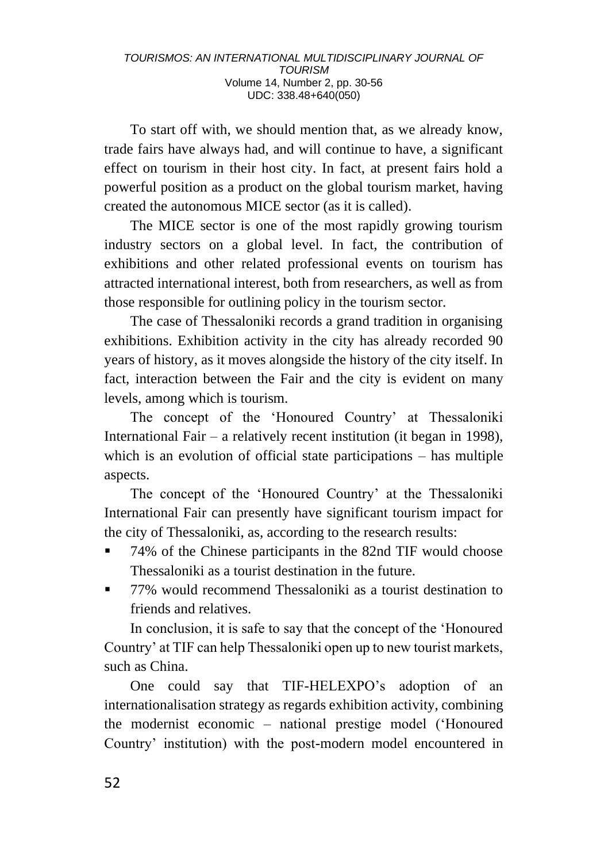To start off with, we should mention that, as we already know, trade fairs have always had, and will continue to have, a significant effect on tourism in their host city. In fact, at present fairs hold a powerful position as a product on the global tourism market, having created the autonomous MICE sector (as it is called).

The MICE sector is one of the most rapidly growing tourism industry sectors on a global level. In fact, the contribution of exhibitions and other related professional events on tourism has attracted international interest, both from researchers, as well as from those responsible for outlining policy in the tourism sector.

The case of Thessaloniki records a grand tradition in organising exhibitions. Exhibition activity in the city has already recorded 90 years of history, as it moves alongside the history of the city itself. In fact, interaction between the Fair and the city is evident on many levels, among which is tourism.

The concept of the 'Honoured Country' at Thessaloniki International Fair – a relatively recent institution (it began in 1998), which is an evolution of official state participations – has multiple aspects.

The concept of the 'Honoured Country' at the Thessaloniki International Fair can presently have significant tourism impact for the city of Thessaloniki, as, according to the research results:

- 74% of the Chinese participants in the 82nd TIF would choose Thessaloniki as a tourist destination in the future.
- 77% would recommend Thessaloniki as a tourist destination to friends and relatives.

In conclusion, it is safe to say that the concept of the 'Honoured Country' at TIF can help Thessaloniki open up to new tourist markets, such as China.

One could say that TIF-HELEXPO's adoption of an internationalisation strategy as regards exhibition activity, combining the modernist economic – national prestige model ('Honoured Country' institution) with the post-modern model encountered in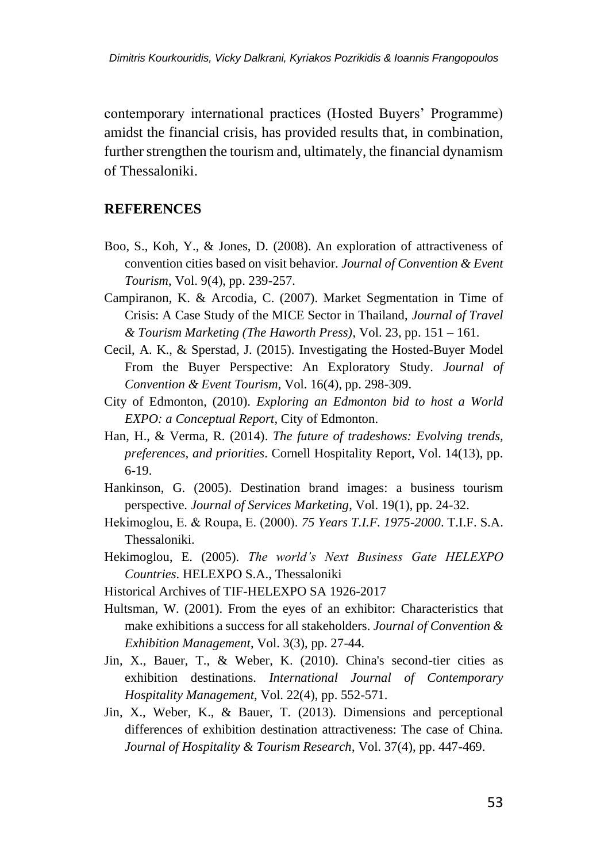contemporary international practices (Hosted Buyers' Programme) amidst the financial crisis, has provided results that, in combination, further strengthen the tourism and, ultimately, the financial dynamism of Thessaloniki.

### **REFERENCES**

- Boo, S., Koh, Y., & Jones, D. (2008). An exploration of attractiveness of convention cities based on visit behavior. *Journal of Convention & Event Tourism*, Vol. 9(4), pp. 239-257.
- Campiranon, K. & Arcodia, C. (2007). Market Segmentation in Time of Crisis: A Case Study of the MICE Sector in Thailand, *Journal of Travel & Tourism Marketing (The Haworth Press)*, Vol. 23, pp. 151 – 161.
- Cecil, A. K., & Sperstad, J. (2015). Investigating the Hosted-Buyer Model From the Buyer Perspective: An Exploratory Study. *Journal of Convention & Event Tourism*, Vol. 16(4), pp. 298-309.
- City of Edmonton, (2010). *Exploring an Edmonton bid to host a World EXPO: a Conceptual Report*, City of Edmonton.
- Han, H., & Verma, R. (2014). *The future of tradeshows: Evolving trends, preferences, and priorities*. Cornell Hospitality Report, Vol. 14(13), pp. 6-19.
- Hankinson, G. (2005). Destination brand images: a business tourism perspective. *Journal of Services Marketing*, Vol. 19(1), pp. 24-32.
- Hekimoglou, E. & Roupa, Ε. (2000). *75 Years T.I.F. 1975-2000*. T.I.F. S.A. Thessaloniki.
- Hekimoglou, E. (2005). *The world's Next Business Gate HELEXPO Countries*. HELEXPO S.A., Thessaloniki
- Historical Archives of TIF-HELEXPO SA 1926-2017
- Hultsman, W. (2001). From the eyes of an exhibitor: Characteristics that make exhibitions a success for all stakeholders. *Journal of Convention & Exhibition Management*, Vol. 3(3), pp. 27-44.
- Jin, X., Bauer, T., & Weber, K. (2010). China's second-tier cities as exhibition destinations. *International Journal of Contemporary Hospitality Management*, Vol. 22(4), pp. 552-571.
- Jin, X., Weber, K., & Bauer, T. (2013). Dimensions and perceptional differences of exhibition destination attractiveness: The case of China. *Journal of Hospitality & Tourism Research*, Vol. 37(4), pp. 447-469.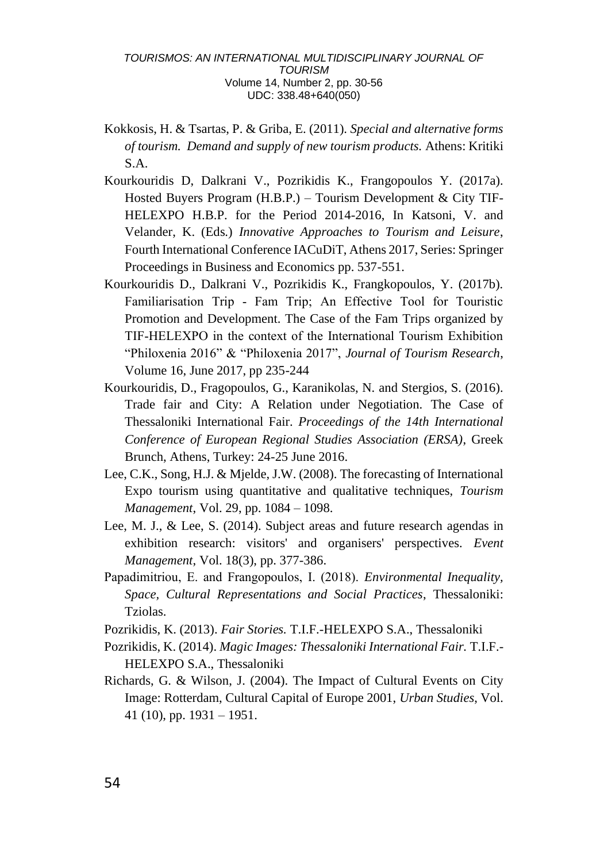- Kokkosis, H. & Tsartas, P. & Griba, E. (2011). *Special and alternative forms of tourism. Demand and supply of new tourism products.* Athens: Kritiki S.A.
- Kourkouridis D, Dalkrani V., Pozrikidis K., Frangopoulos Y. (2017a). Hosted Buyers Program (H.B.P.) – Tourism Development & City TIF-HELEXPO H.B.P. for the Period 2014-2016, In Katsoni, V. and Velander, K. (Eds.) *Innovative Approaches to Tourism and Leisure*, Fourth International Conference IACuDiT, Athens 2017, Series: Springer Proceedings in Business and Economics pp. 537-551.
- Kourkouridis D., Dalkrani V., Pozrikidis K., Frangkopoulos, Y. (2017b). Familiarisation Trip ‐ Fam Trip; An Effective Tool for Touristic Promotion and Development. The Case of the Fam Trips organized by TIF‐HELEXPO in the context of the International Tourism Exhibition "Philoxenia 2016" & "Philoxenia 2017", *Journal of Tourism Research*, Volume 16, June 2017, pp 235-244
- Kourkouridis, D., Fragopoulos, G., Karanikolas, N. and Stergios, S. (2016). Trade fair and City: A Relation under Negotiation. The Case of Thessaloniki International Fair. *Proceedings of the 14th International Conference of European Regional Studies Association (ERSA)*, Greek Brunch, Athens, Turkey: 24-25 June 2016.
- Lee, C.K., Song, H.J. & Mjelde, J.W. (2008). The forecasting of International Expo tourism using quantitative and qualitative techniques, *Tourism Management*, Vol. 29, pp. 1084 – 1098.
- Lee, M. J., & Lee, S. (2014). Subject areas and future research agendas in exhibition research: visitors' and organisers' perspectives. *Event Management*, Vol. 18(3), pp. 377-386.
- Papadimitriou, Ε. and Frangopoulos, Ι. (2018). *Environmental Inequality, Space, Cultural Representations and Social Practices*, Thessaloniki: Tziolas.
- Pozrikidis, K. (2013). *Fair Stories.* T.I.F.-HELEXPO S.A., Thessaloniki
- Pozrikidis, K. (2014). *Magic Images: Thessaloniki International Fair.* T.I.F.- HELEXPO S.A., Thessaloniki
- Richards, G. & Wilson, J. (2004). The Impact of Cultural Events on City Image: Rotterdam, Cultural Capital of Europe 2001, *Urban Studies*, Vol. 41 (10), pp.  $1931 - 1951$ .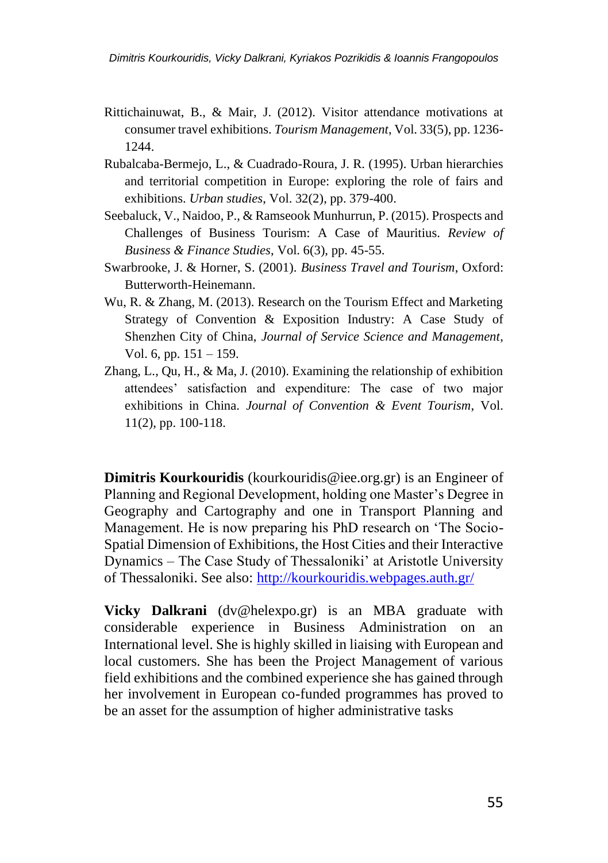- Rittichainuwat, B., & Mair, J. (2012). Visitor attendance motivations at consumer travel exhibitions. *Tourism Management*, Vol. 33(5), pp. 1236- 1244.
- Rubalcaba-Bermejo, L., & Cuadrado-Roura, J. R. (1995). Urban hierarchies and territorial competition in Europe: exploring the role of fairs and exhibitions. *Urban studies*, Vol. 32(2), pp. 379-400.
- Seebaluck, V., Naidoo, P., & Ramseook Munhurrun, P. (2015). Prospects and Challenges of Business Tourism: A Case of Mauritius. *Review of Business & Finance Studies*, Vol. 6(3), pp. 45-55.
- Swarbrooke, J. & Horner, S. (2001). *Business Travel and Tourism*, Oxford: Butterworth-Heinemann.
- Wu, R. & Zhang, M. (2013). Research on the Tourism Effect and Marketing Strategy of Convention & Exposition Industry: A Case Study of Shenzhen City of China, *Journal of Service Science and Management*, Vol. 6, pp. 151 – 159.
- Zhang, L., Qu, H., & Ma, J. (2010). Examining the relationship of exhibition attendees' satisfaction and expenditure: The case of two major exhibitions in China. *Journal of Convention & Event Tourism*, Vol. 11(2), pp. 100-118.

**Dimitris Kourkouridis** (kourkouridis@iee.org.gr) is an Engineer of Planning and Regional Development, holding one Master's Degree in Geography and Cartography and one in Transport Planning and Management. He is now preparing his PhD research on 'The Socio-Spatial Dimension of Exhibitions, the Host Cities and their Interactive Dynamics – The Case Study of Thessaloniki' at Aristotle University of Thessaloniki. See also:<http://kourkouridis.webpages.auth.gr/>

**Vicky Dalkrani** (dv@helexpo.gr) is an MBA graduate with considerable experience in Business Administration on an International level. She is highly skilled in liaising with European and local customers. She has been the Project Management of various field exhibitions and the combined experience she has gained through her involvement in European co-funded programmes has proved to be an asset for the assumption of higher administrative tasks